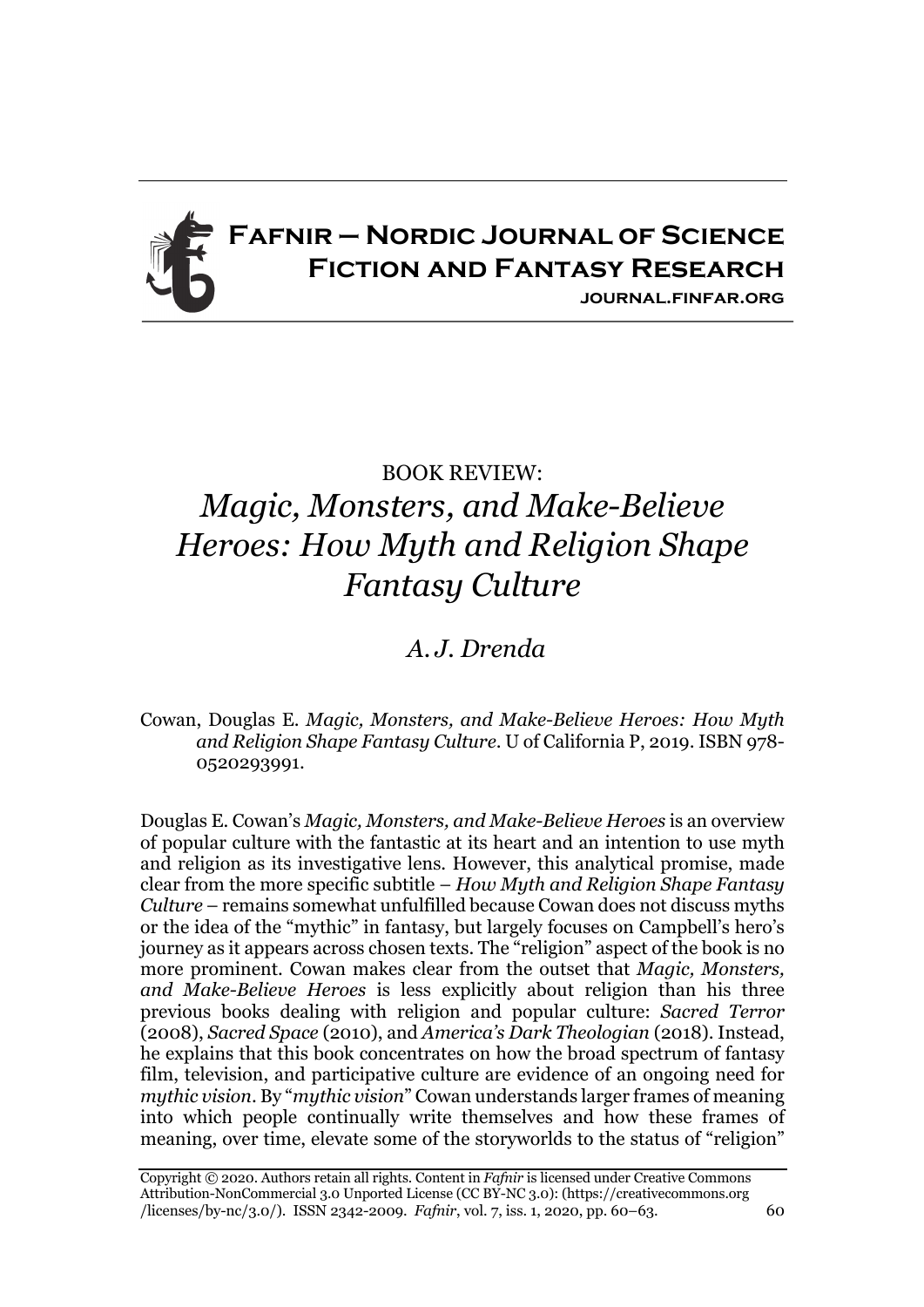## **Fafnir – Nordic Journal of Science Fiction and Fantasy Research journal.finfar.org**

## BOOK REVIEW: *Magic, Monsters, and Make-Believe Heroes: How Myth and Religion Shape Fantasy Culture*

## *A. J. Drenda*

## Cowan, Douglas E. *Magic, Monsters, and Make-Believe Heroes: How Myth and Religion Shape Fantasy Culture*. U of California P, 2019. ISBN 978- 0520293991.

Douglas E. Cowan's *Magic, Monsters, and Make-Believe Heroes* is an overview of popular culture with the fantastic at its heart and an intention to use myth and religion as its investigative lens. However, this analytical promise, made clear from the more specific subtitle – *How Myth and Religion Shape Fantasy Culture* – remains somewhat unfulfilled because Cowan does not discuss myths or the idea of the "mythic" in fantasy, but largely focuses on Campbell's hero's journey as it appears across chosen texts. The "religion" aspect of the book is no more prominent. Cowan makes clear from the outset that *Magic, Monsters, and Make-Believe Heroes* is less explicitly about religion than his three previous books dealing with religion and popular culture: *Sacred Terror* (2008), *Sacred Space* (2010), and *America's Dark Theologian* (2018). Instead, he explains that this book concentrates on how the broad spectrum of fantasy film, television, and participative culture are evidence of an ongoing need for *mythic vision*. By "*mythic vision*" Cowan understands larger frames of meaning into which people continually write themselves and how these frames of meaning, over time, elevate some of the storyworlds to the status of "religion"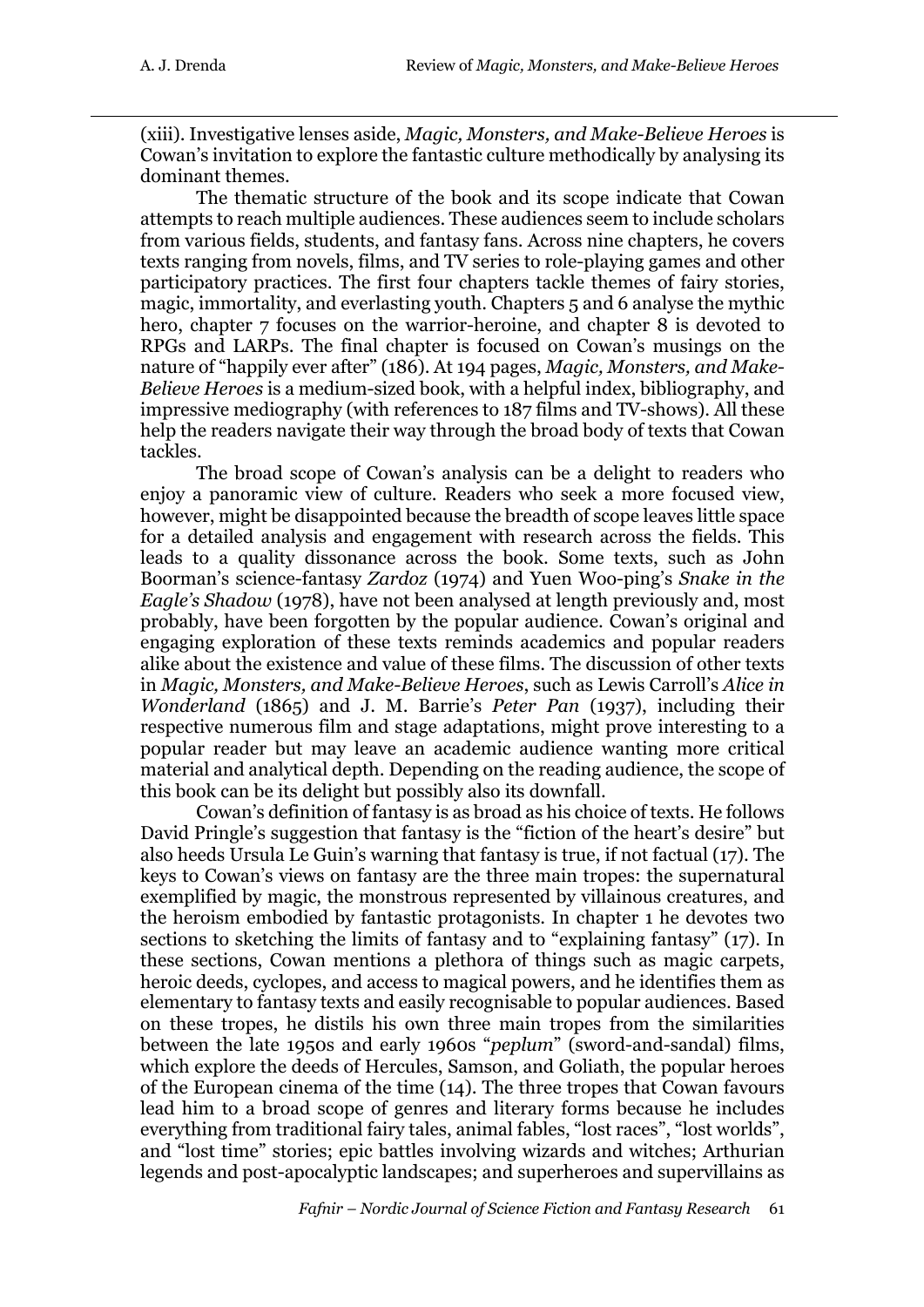(xiii). Investigative lenses aside, *Magic, Monsters, and Make-Believe Heroes* is Cowan's invitation to explore the fantastic culture methodically by analysing its dominant themes.

The thematic structure of the book and its scope indicate that Cowan attempts to reach multiple audiences. These audiences seem to include scholars from various fields, students, and fantasy fans. Across nine chapters, he covers texts ranging from novels, films, and TV series to role-playing games and other participatory practices. The first four chapters tackle themes of fairy stories, magic, immortality, and everlasting youth. Chapters 5 and 6 analyse the mythic hero, chapter 7 focuses on the warrior-heroine, and chapter 8 is devoted to RPGs and LARPs. The final chapter is focused on Cowan's musings on the nature of "happily ever after" (186). At 194 pages, *Magic, Monsters, and Make-Believe Heroes* is a medium-sized book, with a helpful index, bibliography, and impressive mediography (with references to 187 films and TV-shows). All these help the readers navigate their way through the broad body of texts that Cowan tackles.

The broad scope of Cowan's analysis can be a delight to readers who enjoy a panoramic view of culture. Readers who seek a more focused view, however, might be disappointed because the breadth of scope leaves little space for a detailed analysis and engagement with research across the fields. This leads to a quality dissonance across the book. Some texts, such as John Boorman's science-fantasy *Zardoz* (1974) and Yuen Woo-ping's *Snake in the Eagle's Shadow* (1978), have not been analysed at length previously and, most probably, have been forgotten by the popular audience. Cowan's original and engaging exploration of these texts reminds academics and popular readers alike about the existence and value of these films. The discussion of other texts in *Magic, Monsters, and Make-Believe Heroes*, such as Lewis Carroll's *Alice in Wonderland* (1865) and J. M. Barrie's *Peter Pan* (1937), including their respective numerous film and stage adaptations, might prove interesting to a popular reader but may leave an academic audience wanting more critical material and analytical depth. Depending on the reading audience, the scope of this book can be its delight but possibly also its downfall.

Cowan's definition of fantasy is as broad as his choice of texts. He follows David Pringle's suggestion that fantasy is the "fiction of the heart's desire" but also heeds Ursula Le Guin's warning that fantasy is true, if not factual (17). The keys to Cowan's views on fantasy are the three main tropes: the supernatural exemplified by magic, the monstrous represented by villainous creatures, and the heroism embodied by fantastic protagonists. In chapter 1 he devotes two sections to sketching the limits of fantasy and to "explaining fantasy" (17). In these sections, Cowan mentions a plethora of things such as magic carpets, heroic deeds, cyclopes, and access to magical powers, and he identifies them as elementary to fantasy texts and easily recognisable to popular audiences. Based on these tropes, he distils his own three main tropes from the similarities between the late 1950s and early 1960s "*peplum*" (sword-and-sandal) films, which explore the deeds of Hercules, Samson, and Goliath, the popular heroes of the European cinema of the time (14). The three tropes that Cowan favours lead him to a broad scope of genres and literary forms because he includes everything from traditional fairy tales, animal fables, "lost races", "lost worlds", and "lost time" stories; epic battles involving wizards and witches; Arthurian legends and post-apocalyptic landscapes; and superheroes and supervillains as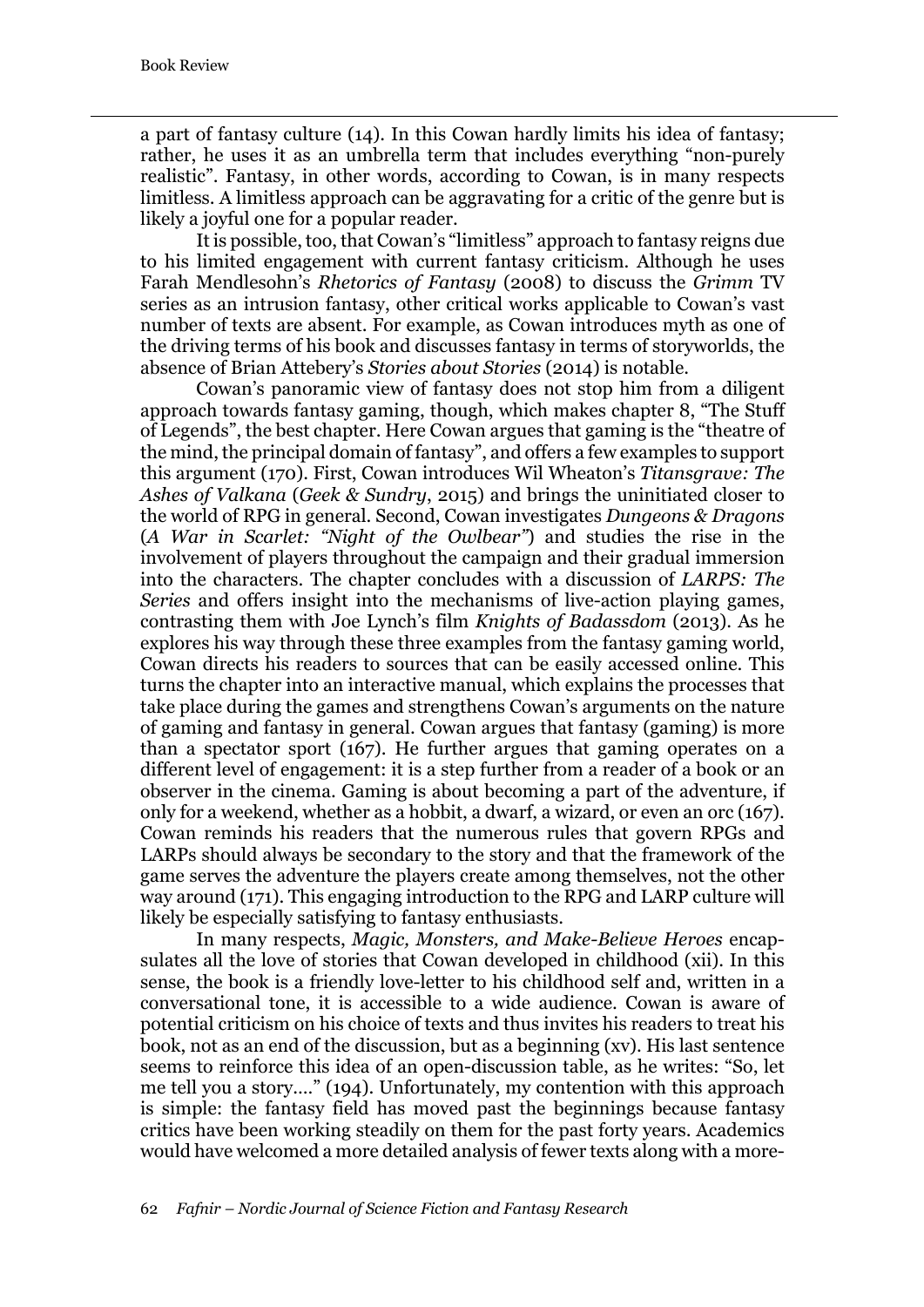a part of fantasy culture (14). In this Cowan hardly limits his idea of fantasy; rather, he uses it as an umbrella term that includes everything "non-purely realistic". Fantasy, in other words, according to Cowan, is in many respects limitless. A limitless approach can be aggravating for a critic of the genre but is likely a joyful one for a popular reader.

It is possible, too, that Cowan's "limitless" approach to fantasy reigns due to his limited engagement with current fantasy criticism. Although he uses Farah Mendlesohn's *Rhetorics of Fantasy* (2008) to discuss the *Grimm* TV series as an intrusion fantasy, other critical works applicable to Cowan's vast number of texts are absent. For example, as Cowan introduces myth as one of the driving terms of his book and discusses fantasy in terms of storyworlds, the absence of Brian Attebery's *Stories about Stories* (2014) is notable.

Cowan's panoramic view of fantasy does not stop him from a diligent approach towards fantasy gaming, though, which makes chapter 8, "The Stuff of Legends", the best chapter. Here Cowan argues that gaming is the "theatre of the mind, the principal domain of fantasy", and offers a few examples to support this argument (170). First, Cowan introduces Wil Wheaton's *Titansgrave: The Ashes of Valkana* (*Geek & Sundry*, 2015) and brings the uninitiated closer to the world of RPG in general. Second, Cowan investigates *Dungeons & Dragons* (*A War in Scarlet: "Night of the Owlbear"*) and studies the rise in the involvement of players throughout the campaign and their gradual immersion into the characters. The chapter concludes with a discussion of *LARPS: The Series* and offers insight into the mechanisms of live-action playing games, contrasting them with Joe Lynch's film *Knights of Badassdom* (2013). As he explores his way through these three examples from the fantasy gaming world, Cowan directs his readers to sources that can be easily accessed online. This turns the chapter into an interactive manual, which explains the processes that take place during the games and strengthens Cowan's arguments on the nature of gaming and fantasy in general. Cowan argues that fantasy (gaming) is more than a spectator sport (167). He further argues that gaming operates on a different level of engagement: it is a step further from a reader of a book or an observer in the cinema. Gaming is about becoming a part of the adventure, if only for a weekend, whether as a hobbit, a dwarf, a wizard, or even an orc (167). Cowan reminds his readers that the numerous rules that govern RPGs and LARPs should always be secondary to the story and that the framework of the game serves the adventure the players create among themselves, not the other way around (171). This engaging introduction to the RPG and LARP culture will likely be especially satisfying to fantasy enthusiasts.

In many respects, *Magic, Monsters, and Make-Believe Heroes* encapsulates all the love of stories that Cowan developed in childhood (xii). In this sense, the book is a friendly love-letter to his childhood self and, written in a conversational tone, it is accessible to a wide audience. Cowan is aware of potential criticism on his choice of texts and thus invites his readers to treat his book, not as an end of the discussion, but as a beginning (xv). His last sentence seems to reinforce this idea of an open-discussion table, as he writes: "So, let me tell you a story.…" (194). Unfortunately, my contention with this approach is simple: the fantasy field has moved past the beginnings because fantasy critics have been working steadily on them for the past forty years. Academics would have welcomed a more detailed analysis of fewer texts along with a more